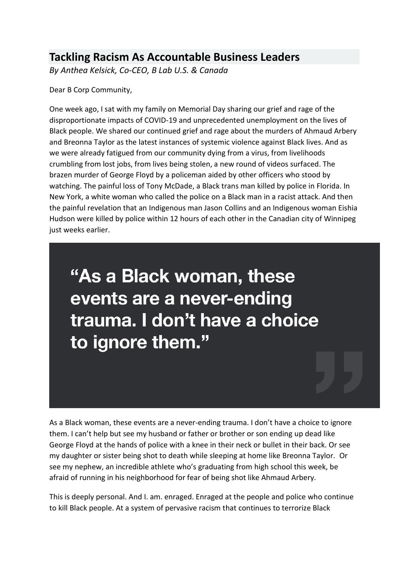## **Tackling Racism As Accountable Business Leaders**

*By Anthea Kelsick, Co-CEO, B Lab U.S. & Canada*

Dear B Corp Community,

One week ago, I sat with my family on Memorial Day sharing our grief and rage of the disproportionate impacts of COVID-19 and unprecedented unemployment on the lives of Black people. We shared our continued grief and rage about the murders of Ahmaud Arbery and Breonna Taylor as the latest instances of systemic violence against Black lives. And as we were already fatigued from our community dying from a virus, from livelihoods crumbling from lost jobs, from lives being stolen, a new round of videos surfaced. The brazen murder of George Floyd by a policeman aided by other officers who stood by watching. The painful loss of Tony McDade, a Black trans man killed by police in Florida. In New York, a white woman who called the police on a Black man in a racist attack. And then the painful revelation that an Indigenous man Jason Collins and an Indigenous woman Eishia Hudson were killed by police within 12 hours of each other in the Canadian city of Winnipeg just weeks earlier.

"As a Black woman, these events are a never-ending trauma. I don't have a choice to ignore them."

As a Black woman, these events are a never-ending trauma. I don't have a choice to ignore them. I can't help but see my husband or father or brother or son ending up dead like George Floyd at the hands of police with a knee in their neck or bullet in their back. Or see my daughter or sister being shot to death while sleeping at home like Breonna Taylor. Or see my nephew, an incredible athlete who's graduating from high school this week, be afraid of running in his neighborhood for fear of being shot like Ahmaud Arbery.

This is deeply personal. And I. am. enraged. Enraged at the people and police who continue to kill Black people. At a system of pervasive racism that continues to terrorize Black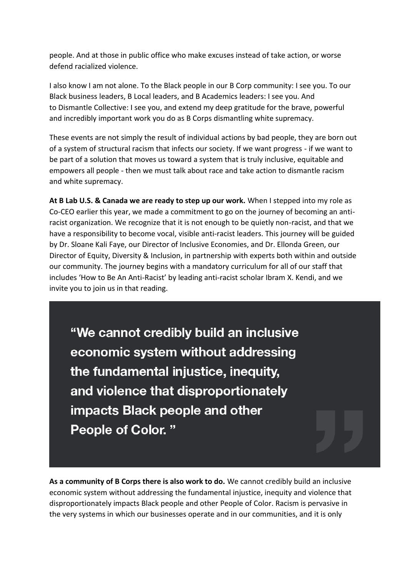people. And at those in public office who make excuses instead of take action, or worse defend racialized violence.

I also know I am not alone. To the Black people in our B Corp community: I see you. To our Black business leaders, B Local leaders, and B Academics leaders: I see you. And to [Dismantle Collective:](https://www.dismantlecollective.org/) I see you, and extend my deep gratitude for the brave, powerful and incredibly important work you do as B Corps dismantling white supremacy.

These events are not simply the result of individual actions by bad people, they are born out of a system of structural racism that infects our society. If we want progress - if we want to be part of a solution that moves us toward a system that is truly inclusive, equitable and empowers all people - then we must talk about race and take action to dismantle racism and white supremacy.

**At B Lab U.S. & Canada we are ready to step up our work.** When I stepped into my role as Co-CEO earlier this year, we made a commitment to go on the journey of becoming an antiracist organization. We recognize that it is not enough to be quietly non-racist, and that we have a responsibility to become vocal, visible anti-racist leaders. This journey will be guided by Dr. Sloane Kali Faye, our Director of Inclusive Economies, and Dr. Ellonda Green, our Director of Equity, Diversity & Inclusion, in partnership with experts both within and outside our community. The journey begins with a mandatory curriculum for all of our staff that includes 'How to Be An Anti-Racist' by leading anti-racist scholar Ibram X. Kendi, and we invite you to join us in that reading.

"We cannot credibly build an inclusive economic system without addressing the fundamental injustice, inequity, and violence that disproportionately impacts Black people and other **People of Color.**"

**As a community of B Corps there is also work to do.** We cannot credibly build an inclusive economic system without addressing the fundamental injustice, inequity and violence that disproportionately impacts Black people and other People of Color. Racism is pervasive in the very systems in which our businesses operate and in our communities, and it is only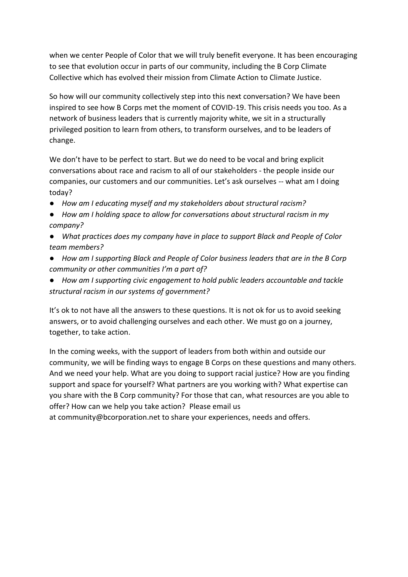when we center People of Color that we will truly benefit everyone. It has been encouraging to see that evolution occur in parts of our community, including the B Corp Climate Collective which has evolved their mission from Climate Action to Climate Justice.

So how will our community collectively step into this next conversation? We have been inspired to see how B Corps met the moment of COVID-19. This crisis needs you too. As a network of business leaders that is currently majority white, we sit in a structurally privileged position to learn from others, to transform ourselves, and to be leaders of change.

We don't have to be perfect to start. But we do need to be vocal and bring explicit conversations about race and racism to all of our stakeholders - the people inside our companies, our customers and our communities. Let's ask ourselves -- what am I doing today?

- *● How am I educating myself and my stakeholders about structural racism?*
- *● How am I holding space to allow for conversations about structural racism in my company?*
- *● What practices does my company have in place to support Black and People of Color team members?*
- *● How am I supporting Black and People of Color business leaders that are in the B Corp community or other communities I'm a part of?*

*● How am I supporting civic engagement to hold public leaders accountable and tackle structural racism in our systems of government?*

It's ok to not have all the answers to these questions. It is not ok for us to avoid seeking answers, or to avoid challenging ourselves and each other. We must go on a journey, together, to take action.

In the coming weeks, with the support of leaders from both within and outside our community, we will be finding ways to engage B Corps on these questions and many others. And we need your help. What are you doing to support racial justice? How are you finding support and space for yourself? What partners are you working with? What expertise can you share with the B Corp community? For those that can, what resources are you able to offer? How can we help you take action? Please email us

at [community@bcorporation.net](mailto:community@bcorporation.net) to share your experiences, needs and offers.